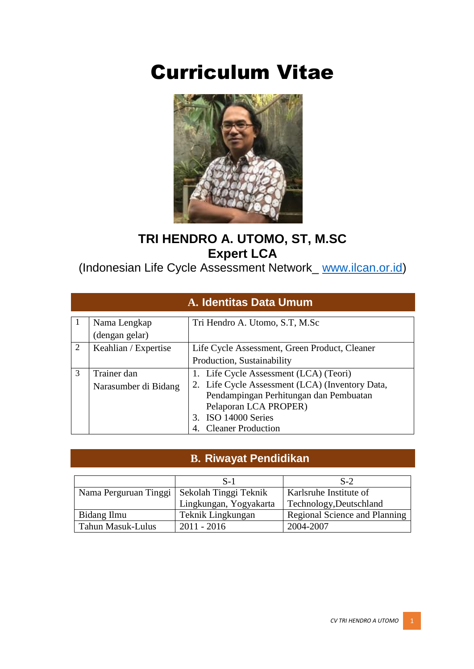# Curriculum Vitae



### **TRI HENDRO A. UTOMO, ST, M.SC Expert LCA**

(Indonesian Life Cycle Assessment Network\_ [www.ilcan.or.id\)](http://www.ilcan.or.id/)

|   | A. Identitas Data Umum              |                                                                                                                                                                                                                  |  |  |  |  |
|---|-------------------------------------|------------------------------------------------------------------------------------------------------------------------------------------------------------------------------------------------------------------|--|--|--|--|
|   | Nama Lengkap<br>(dengan gelar)      | Tri Hendro A. Utomo, S.T, M.Sc                                                                                                                                                                                   |  |  |  |  |
| 2 | Keahlian / Expertise                | Life Cycle Assessment, Green Product, Cleaner<br>Production, Sustainability                                                                                                                                      |  |  |  |  |
| 3 | Trainer dan<br>Narasumber di Bidang | 1. Life Cycle Assessment (LCA) (Teori)<br>2. Life Cycle Assessment (LCA) (Inventory Data,<br>Pendampingan Perhitungan dan Pembuatan<br>Pelaporan LCA PROPER)<br>3. ISO 14000 Series<br><b>Cleaner Production</b> |  |  |  |  |

#### **B. Riwayat Pendidikan**

|                          | $S-1$                  | $S-2$                         |
|--------------------------|------------------------|-------------------------------|
| Nama Perguruan Tinggi    | Sekolah Tinggi Teknik  | Karlsruhe Institute of        |
|                          | Lingkungan, Yogyakarta | Technology, Deutschland       |
| Bidang Ilmu              | Teknik Lingkungan      | Regional Science and Planning |
| <b>Tahun Masuk-Lulus</b> | $2011 - 2016$          | 2004-2007                     |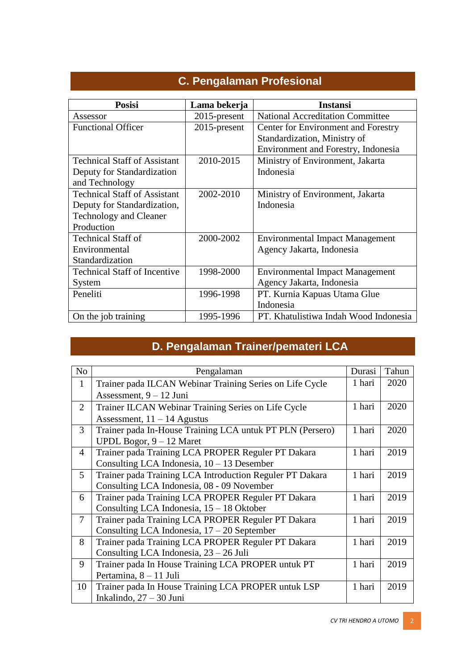| <b>Posisi</b>                       | Lama bekerja    | <b>Instansi</b>                         |
|-------------------------------------|-----------------|-----------------------------------------|
| Assessor                            | $2015$ -present | <b>National Accreditation Committee</b> |
| <b>Functional Officer</b>           | 2015-present    | Center for Environment and Forestry     |
|                                     |                 | Standardization, Ministry of            |
|                                     |                 | Environment and Forestry, Indonesia     |
| <b>Technical Staff of Assistant</b> | 2010-2015       | Ministry of Environment, Jakarta        |
| Deputy for Standardization          |                 | Indonesia                               |
| and Technology                      |                 |                                         |
| <b>Technical Staff of Assistant</b> | 2002-2010       | Ministry of Environment, Jakarta        |
| Deputy for Standardization,         |                 | Indonesia                               |
| <b>Technology and Cleaner</b>       |                 |                                         |
| Production                          |                 |                                         |
| <b>Technical Staff of</b>           | 2000-2002       | <b>Environmental Impact Management</b>  |
| Environmental                       |                 | Agency Jakarta, Indonesia               |
| Standardization                     |                 |                                         |
| <b>Technical Staff of Incentive</b> | 1998-2000       | <b>Environmental Impact Management</b>  |
| System                              |                 | Agency Jakarta, Indonesia               |
| Peneliti                            | 1996-1998       | PT. Kurnia Kapuas Utama Glue            |
|                                     |                 | Indonesia                               |
| On the job training                 | 1995-1996       | PT. Khatulistiwa Indah Wood Indonesia   |

## **C. Pengalaman Profesional**

# **D. Pengalaman Trainer/pemateri LCA**

| N <sub>o</sub> | Pengalaman                                                | Durasi | Tahun |
|----------------|-----------------------------------------------------------|--------|-------|
| $\mathbf{1}$   | Trainer pada ILCAN Webinar Training Series on Life Cycle  | 1 hari | 2020  |
|                | Assessment, $9 - 12$ Juni                                 |        |       |
| $\overline{2}$ | Trainer ILCAN Webinar Training Series on Life Cycle       | 1 hari | 2020  |
|                | Assessment, $11 - 14$ Agustus                             |        |       |
| 3              | Trainer pada In-House Training LCA untuk PT PLN (Persero) | 1 hari | 2020  |
|                | UPDL Bogor, $9 - 12$ Maret                                |        |       |
| 4              | Trainer pada Training LCA PROPER Reguler PT Dakara        | 1 hari | 2019  |
|                | Consulting LCA Indonesia, 10 - 13 Desember                |        |       |
| $\mathfrak{H}$ | Trainer pada Training LCA Introduction Reguler PT Dakara  | 1 hari | 2019  |
|                | Consulting LCA Indonesia, 08 - 09 November                |        |       |
| 6              | Trainer pada Training LCA PROPER Reguler PT Dakara        | 1 hari | 2019  |
|                | Consulting LCA Indonesia, 15 - 18 Oktober                 |        |       |
| $\overline{7}$ | Trainer pada Training LCA PROPER Reguler PT Dakara        | 1 hari | 2019  |
|                | Consulting LCA Indonesia, $17 - 20$ September             |        |       |
| 8              | Trainer pada Training LCA PROPER Reguler PT Dakara        | 1 hari | 2019  |
|                | Consulting LCA Indonesia, $23 - 26$ Juli                  |        |       |
| 9              | Trainer pada In House Training LCA PROPER untuk PT        | 1 hari | 2019  |
|                | Pertamina, 8 - 11 Juli                                    |        |       |
| 10             | Trainer pada In House Training LCA PROPER untuk LSP       | 1 hari | 2019  |
|                | Inkalindo, $27 - 30$ Juni                                 |        |       |